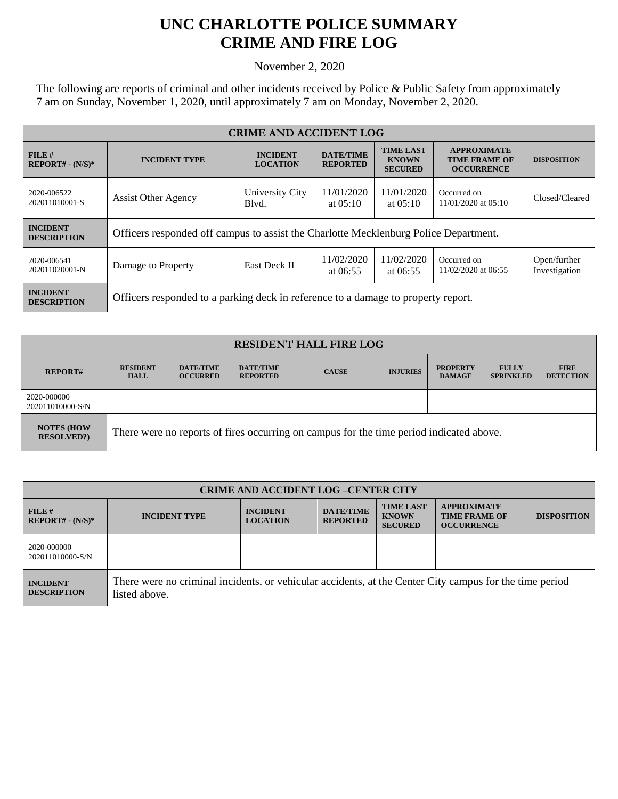## **UNC CHARLOTTE POLICE SUMMARY CRIME AND FIRE LOG**

November 2, 2020

The following are reports of criminal and other incidents received by Police & Public Safety from approximately 7 am on Sunday, November 1, 2020, until approximately 7 am on Monday, November 2, 2020.

| <b>CRIME AND ACCIDENT LOG</b>         |                                                                                      |                                    |                                     |                                                    |                                                                 |                               |  |
|---------------------------------------|--------------------------------------------------------------------------------------|------------------------------------|-------------------------------------|----------------------------------------------------|-----------------------------------------------------------------|-------------------------------|--|
| FILE H<br>$REPORT# - (N/S)*$          | <b>INCIDENT TYPE</b>                                                                 | <b>INCIDENT</b><br><b>LOCATION</b> | <b>DATE/TIME</b><br><b>REPORTED</b> | <b>TIME LAST</b><br><b>KNOWN</b><br><b>SECURED</b> | <b>APPROXIMATE</b><br><b>TIME FRAME OF</b><br><b>OCCURRENCE</b> | <b>DISPOSITION</b>            |  |
| 2020-006522<br>202011010001-S         | <b>Assist Other Agency</b>                                                           | University City<br>Blyd.           | 11/01/2020<br>at $0.5:10$           | 11/01/2020<br>at $05:10$                           | Occurred on<br>11/01/2020 at 05:10                              | Closed/Cleared                |  |
| <b>INCIDENT</b><br><b>DESCRIPTION</b> | Officers responded off campus to assist the Charlotte Mecklenburg Police Department. |                                    |                                     |                                                    |                                                                 |                               |  |
| 2020-006541<br>202011020001-N         | Damage to Property                                                                   | <b>East Deck II</b>                | 11/02/2020<br>at $06:55$            | 11/02/2020<br>at $06:55$                           | Occurred on<br>11/02/2020 at 06:55                              | Open/further<br>Investigation |  |
| <b>INCIDENT</b><br><b>DESCRIPTION</b> | Officers responded to a parking deck in reference to a damage to property report.    |                                    |                                     |                                                    |                                                                 |                               |  |

| <b>RESIDENT HALL FIRE LOG</b>         |                                                                                         |                                     |                                     |              |                 |                                  |                                  |                                 |
|---------------------------------------|-----------------------------------------------------------------------------------------|-------------------------------------|-------------------------------------|--------------|-----------------|----------------------------------|----------------------------------|---------------------------------|
| <b>REPORT#</b>                        | <b>RESIDENT</b><br><b>HALL</b>                                                          | <b>DATE/TIME</b><br><b>OCCURRED</b> | <b>DATE/TIME</b><br><b>REPORTED</b> | <b>CAUSE</b> | <b>INJURIES</b> | <b>PROPERTY</b><br><b>DAMAGE</b> | <b>FULLY</b><br><b>SPRINKLED</b> | <b>FIRE</b><br><b>DETECTION</b> |
| 2020-000000<br>202011010000-S/N       |                                                                                         |                                     |                                     |              |                 |                                  |                                  |                                 |
| <b>NOTES (HOW</b><br><b>RESOLVED?</b> | There were no reports of fires occurring on campus for the time period indicated above. |                                     |                                     |              |                 |                                  |                                  |                                 |

| <b>CRIME AND ACCIDENT LOG-CENTER CITY</b> |                                                                                                                          |                                    |                                     |                                                    |                                                                 |                    |  |
|-------------------------------------------|--------------------------------------------------------------------------------------------------------------------------|------------------------------------|-------------------------------------|----------------------------------------------------|-----------------------------------------------------------------|--------------------|--|
| $FILE$ #<br>$REPORT# - (N/S)*$            | <b>INCIDENT TYPE</b>                                                                                                     | <b>INCIDENT</b><br><b>LOCATION</b> | <b>DATE/TIME</b><br><b>REPORTED</b> | <b>TIME LAST</b><br><b>KNOWN</b><br><b>SECURED</b> | <b>APPROXIMATE</b><br><b>TIME FRAME OF</b><br><b>OCCURRENCE</b> | <b>DISPOSITION</b> |  |
| 2020-000000<br>202011010000-S/N           |                                                                                                                          |                                    |                                     |                                                    |                                                                 |                    |  |
| <b>INCIDENT</b><br><b>DESCRIPTION</b>     | There were no criminal incidents, or vehicular accidents, at the Center City campus for the time period<br>listed above. |                                    |                                     |                                                    |                                                                 |                    |  |